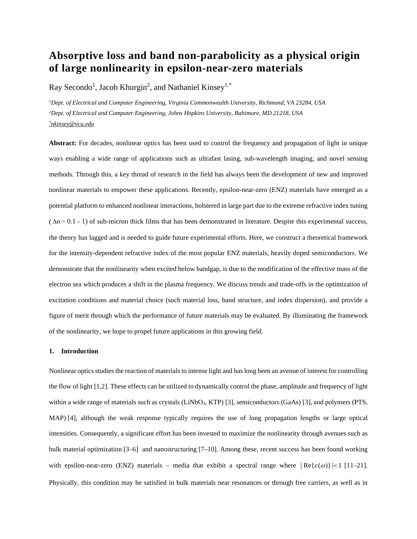# **Absorptive loss and band non-parabolicity as a physical origin of large nonlinearity in epsilon-near-zero materials**

Ray Secondo<sup>1</sup>, Jacob Khurgin<sup>2</sup>, and Nathaniel Kinsey<sup>1,\*</sup>

*1Dept. of Electrical and Computer Engineering, Virginia Commonwealth University, Richmond, VA 23284, USA 2Dept. of Electrical and Computer Engineering, Johns Hopkins University, Baltimore, MD 21218, USA [\\*nkinsey@vcu.edu](mailto:*nkinsey@vcu.edu)*

**Abstract:** For decades, nonlinear optics has been used to control the frequency and propagation of light in unique ways enabling a wide range of applications such as ultrafast lasing, sub-wavelength imaging, and novel sensing methods. Through this, a key thread of research in the field has always been the development of new and improved nonlinear materials to empower these applications. Recently, epsilon-near-zero (ENZ) materials have emerged as a potential platform to enhanced nonlinear interactions, bolstered in large part due to the extreme refractive index tuning  $(\Delta n \sim 0.1 - 1)$  of sub-micron thick films that has been demonstrated in literature. Despite this experimental success, the theory has lagged and is needed to guide future experimental efforts. Here, we construct a theoretical framework for the intensity-dependent refractive index of the most popular ENZ materials, heavily doped semiconductors. We demonstrate that the nonlinearity when excited below bandgap, is due to the modification of the effective mass of the electron sea which produces a shift in the plasma frequency. We discuss trends and trade-offs in the optimization of excitation conditions and material choice (such material loss, band structure, and index dispersion), and provide a figure of merit through which the performance of future materials may be evaluated. By illuminating the framework of the nonlinearity, we hope to propel future applications in this growing field.

## **1. Introduction**

Nonlinear optics studies the reaction of materials to intense light and has long been an avenue of interest for controlling the flow of light [1,2]. These effects can be utilized to dynamically control the phase, amplitude and frequency of light within a wide range of materials such as crystals (LiNbO<sub>3</sub>, KTP) [3], semiconductors (GaAs) [3], and polymers (PTS, MAP) [4], although the weak response typically requires the use of long propagation lengths or large optical intensities. Consequently, a significant effort has been invested to maximize the nonlinearity through avenues such as bulk material optimization [3–6] and nanostructuring [7–10]. Among these, recent success has been found working with epsilon-near-zero (ENZ) materials – media that exhibit a spectral range where  $\text{Re}\{\varepsilon(\omega)\}\leq 1$  [11–21]. Physically, this condition may be satisfied in bulk materials near resonances or through free carriers, as well as in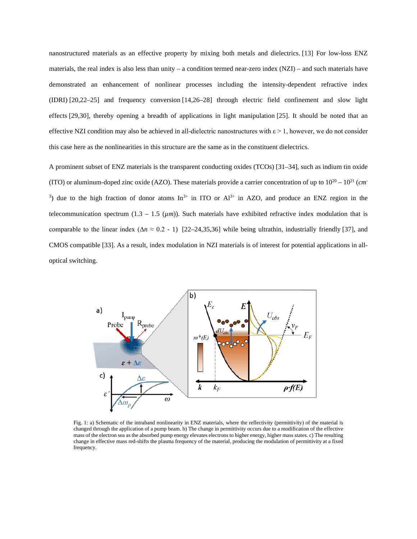nanostructured materials as an effective property by mixing both metals and dielectrics. [13] For low-loss ENZ materials, the real index is also less than unity – a condition termed near-zero index  $(NZI)$  – and such materials have demonstrated an enhancement of nonlinear processes including the intensity-dependent refractive index (IDRI) [20,22–25] and frequency conversion [14,26–28] through electric field confinement and slow light effects [29,30], thereby opening a breadth of applications in light manipulation [25]. It should be noted that an effective NZI condition may also be achieved in all-dielectric nanostructures with  $\varepsilon > 1$ , however, we do not consider this case here as the nonlinearities in this structure are the same as in the constituent dielectrics.

A prominent subset of ENZ materials is the transparent conducting oxides (TCOs) [31–34], such as indium tin oxide (ITO) or aluminum-doped zinc oxide (AZO). These materials provide a carrier concentration of up to  $10^{20} - 10^{21}$  (*cm*<sup>-</sup> <sup>3</sup>) due to the high fraction of donor atoms In<sup>3+</sup> in ITO or Al<sup>3+</sup> in AZO, and produce an ENZ region in the telecommunication spectrum  $(1.3 - 1.5 \, (\mu m))$ . Such materials have exhibited refractive index modulation that is comparable to the linear index  $(\Delta n \approx 0.2 - 1)$  [22–24,35,36] while being ultrathin, industrially friendly [37], and CMOS compatible [33]. As a result, index modulation in NZI materials is of interest for potential applications in alloptical switching.



Fig. 1: a) Schematic of the intraband nonlinearity in ENZ materials, where the reflectivity (permittivity) of the material is changed through the application of a pump beam. b) The change in permittivity occurs due to a modification of the effective mass of the electron sea as the absorbed pump energy elevates electrons to higher energy, higher mass states. c) The resulting change in effective mass red-shifts the plasma frequency of the material, producing the modulation of permittivity at a fixed frequency.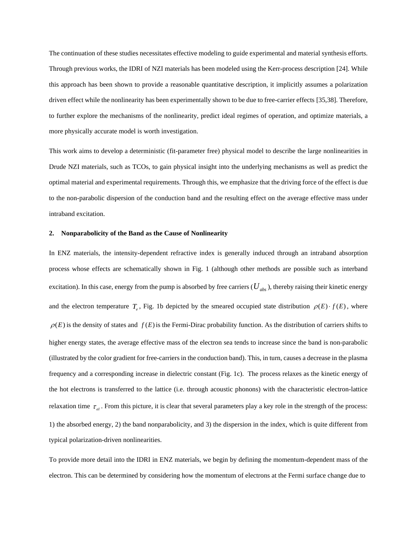The continuation of these studies necessitates effective modeling to guide experimental and material synthesis efforts. Through previous works, the IDRI of NZI materials has been modeled using the Kerr-process description [24]. While this approach has been shown to provide a reasonable quantitative description, it implicitly assumes a polarization driven effect while the nonlinearity has been experimentally shown to be due to free-carrier effects [35,38]. Therefore, to further explore the mechanisms of the nonlinearity, predict ideal regimes of operation, and optimize materials, a more physically accurate model is worth investigation.

This work aims to develop a deterministic (fit-parameter free) physical model to describe the large nonlinearities in Drude NZI materials, such as TCOs, to gain physical insight into the underlying mechanisms as well as predict the optimal material and experimental requirements. Through this, we emphasize that the driving force of the effect is due to the non-parabolic dispersion of the conduction band and the resulting effect on the average effective mass under intraband excitation.

### **2. Nonparabolicity of the Band as the Cause of Nonlinearity**

In ENZ materials, the intensity-dependent refractive index is generally induced through an intraband absorption process whose effects are schematically shown in Fig. 1 (although other methods are possible such as interband excitation). In this case, energy from the pump is absorbed by free carriers  $(U_{abs})$ , thereby raising their kinetic energy and the electron temperature  $T_e$ , Fig. 1b depicted by the smeared occupied state distribution  $\rho(E) \cdot f(E)$ , where  $\rho(E)$  is the density of states and  $f(E)$  is the Fermi-Dirac probability function. As the distribution of carriers shifts to higher energy states, the average effective mass of the electron sea tends to increase since the band is non-parabolic (illustrated by the color gradient for free-carriers in the conduction band). This, in turn, causes a decrease in the plasma frequency and a corresponding increase in dielectric constant (Fig. 1c). The process relaxes as the kinetic energy of the hot electrons is transferred to the lattice (i.e. through acoustic phonons) with the characteristic electron-lattice relaxation time  $\tau_{el}$ . From this picture, it is clear that several parameters play a key role in the strength of the process: 1) the absorbed energy, 2) the band nonparabolicity, and 3) the dispersion in the index, which is quite different from typical polarization-driven nonlinearities.

To provide more detail into the IDRI in ENZ materials, we begin by defining the momentum-dependent mass of the electron. This can be determined by considering how the momentum of electrons at the Fermi surface change due to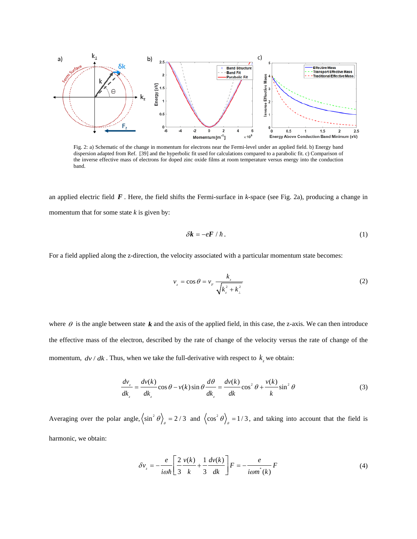

Fig. 2: a) Schematic of the change in momentum for electrons near the Fermi-level under an applied field. b) Energy band dispersion adapted from Ref. [39] and the hyperbolic fit used for calculations compared to a parabolic fit. c) Comparison of the inverse effective mass of electrons for doped zinc oxide films at room temperature versus energy into the conduction band.

an applied electric field *F* . Here, the field shifts the Fermi-surface in *k*-space (see Fig. 2a), producing a change in momentum that for some state *k* is given by:

$$
\delta \mathbf{k} = -e\mathbf{F} / \hbar \,.
$$

For a field applied along the z-direction, the velocity associated with a particular momentum state becomes:

$$
v_z = \cos \theta = v_F \frac{k_z}{\sqrt{k_z^2 + k_\perp^2}}
$$
 (2)

where  $\theta$  is the angle between state  $\boldsymbol{k}$  and the axis of the applied field, in this case, the z-axis. We can then introduce the effective mass of the electron, described by the rate of change of the velocity versus the rate of change of the momentum,  $dv/dk$ . Thus, when we take the full-derivative with respect to  $k_z$  we obtain:

$$
\frac{dv_z}{dk_z} = \frac{dv(k)}{dk_z}\cos\theta - v(k)\sin\theta \frac{d\theta}{dk_z} = \frac{dv(k)}{dk}\cos^2\theta + \frac{v(k)}{k}\sin^2\theta
$$
\n(3)

Averaging over the polar angle,  $\left\langle \sin^2 \theta \right\rangle_\theta = 2/3$  and  $\left\langle \cos^2 \theta \right\rangle_\theta = 1/3$ , and taking into account that the field is harmonic, we obtain:

$$
\delta v_z = -\frac{e}{i\omega\hbar} \left[ \frac{2}{3} \frac{v(k)}{k} + \frac{1}{3} \frac{dv(k)}{dk} \right] F = -\frac{e}{i\omega m^*(k)} F \tag{4}
$$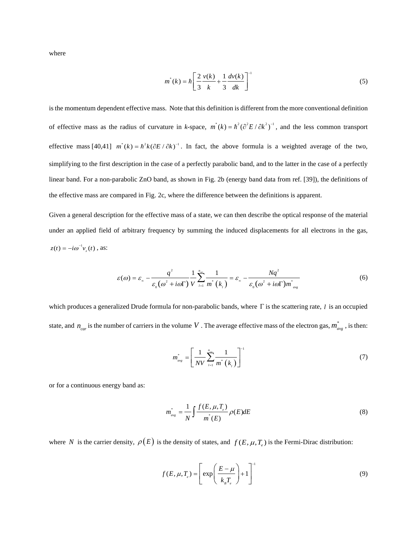where

$$
m^{*}(k) = \hbar \left[ \frac{2}{3} \frac{v(k)}{k} + \frac{1}{3} \frac{dv(k)}{dk} \right]^{-1}
$$
 (5)

is the momentum dependent effective mass. Note that this definition is different from the more conventional definition of effective mass as the radius of curvature in *k*-space,  $m^*(k) = \hbar^2 (\partial^2 E / \partial k^2)^{-1}$ , and the less common transport effective mass  $[40,41]$   $m^*(k) = \hbar^2 k (\partial E / \partial k)^{-1}$ . In fact, the above formula is a weighted average of the two, simplifying to the first description in the case of a perfectly parabolic band, and to the latter in the case of a perfectly linear band. For a non-parabolic ZnO band, as shown in Fig. 2b (energy band data from ref. [39]), the definitions of the effective mass are compared in Fig. 2c, where the difference between the definitions is apparent.

Given a general description for the effective mass of a state, we can then describe the optical response of the material under an applied field of arbitrary frequency by summing the induced displacements for all electrons in the gas,  $z(t) = -i\omega^{-1}v_z(t)$ , as:

$$
\varepsilon(\omega) = \varepsilon_{\infty} - \frac{q^2}{\varepsilon_0(\omega^2 + i\omega\Gamma)} \frac{1}{V} \sum_{i=1}^{n_{\infty}} \frac{1}{m^* \left(k_i\right)} = \varepsilon_{\infty} - \frac{Nq^2}{\varepsilon_0(\omega^2 + i\omega\Gamma)m_{avg}^*}
$$
(6)

which produces a generalized Drude formula for non-parabolic bands, where Γ is the scattering rate, *l* is an occupied state, and  $n_{car}$  is the number of carriers in the volume V. The average effective mass of the electron gas,  $m_{avg}^*$ , is then:

$$
m_{avg}^* = \left[ \frac{1}{NV} \sum_{l=1}^{n_{avg}} \frac{1}{m^* (k_l)} \right]^{-1} \tag{7}
$$

or for a continuous energy band as:

$$
m_{\text{avg}}^* = \frac{1}{N} \int \frac{f(E, \mu, T_c)}{m^*(E)} \rho(E) dE \tag{8}
$$

where *N* is the carrier density,  $\rho(E)$  is the density of states, and  $f(E, \mu, T)$  is the Fermi-Dirac distribution:

$$
f(E, \mu, T_e) = \left[ \exp\left(\frac{E - \mu}{k_s T_e}\right) + 1 \right]^{-1}
$$
 (9)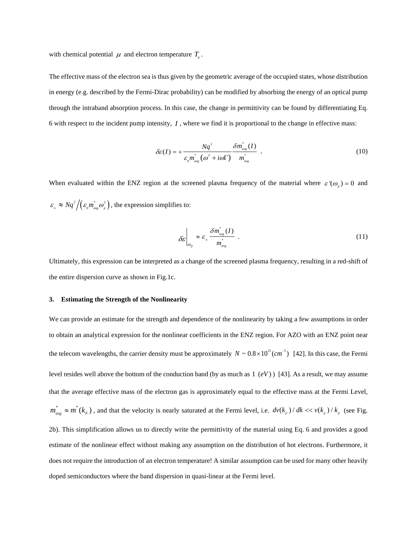with chemical potential  $\mu$  and electron temperature  $T_e$ .

The effective mass of the electron sea is thus given by the geometric average of the occupied states, whose distribution in energy (e.g. described by the Fermi-Dirac probability) can be modified by absorbing the energy of an optical pump through the intraband absorption process. In this case, the change in permittivity can be found by differentiating Eq. 6 with respect to the incident pump intensity, *I* , where we find it is proportional to the change in effective mass:

$$
\delta \varepsilon(I) = + \frac{Nq^2}{\varepsilon_0 m_{avg}^* \left(\omega^2 + i\omega\right)} \frac{\delta m_{avg}^*(I)}{m_{avg}^*} \tag{10}
$$

When evaluated within the ENZ region at the screened plasma frequency of the material where  $\varepsilon'(\omega_z) = 0$  and  $\varepsilon_{\infty} \approx Nq^2/(\varepsilon_0 m_{\text{avg}}^* \omega_p^2)$ , the expression simplifies to:

$$
\delta \varepsilon \Big|_{\omega_p} \approx \varepsilon_{\infty} \frac{\delta m_{\rm avg}^*(I)}{m_{\rm avg}^*} \ . \tag{11}
$$

Ultimately, this expression can be interpreted as a change of the screened plasma frequency, resulting in a red-shift of the entire dispersion curve as shown in Fig.1c.

# **3. Estimating the Strength of the Nonlinearity**

We can provide an estimate for the strength and dependence of the nonlinearity by taking a few assumptions in order to obtain an analytical expression for the nonlinear coefficients in the ENZ region. For AZO with an ENZ point near the telecom wavelengths, the carrier density must be approximately  $N \sim 0.8 \times 10^{21} (cm^{-3})$  [42]. In this case, the Fermi level resides well above the bottom of the conduction band (by as much as  $1(eV)$  ) [43]. As a result, we may assume that the average effective mass of the electron gas is approximately equal to the effective mass at the Fermi Level,  $m_{avg}^* \approx m^*(k_F)$ , and that the velocity is nearly saturated at the Fermi level, i.e.  $dv(k_F)/dk \ll v(k_F)/k_F$  (see Fig. 2b). This simplification allows us to directly write the permittivity of the material using Eq. 6 and provides a good estimate of the nonlinear effect without making any assumption on the distribution of hot electrons. Furthermore, it does not require the introduction of an electron temperature! A similar assumption can be used for many other heavily doped semiconductors where the band dispersion in quasi-linear at the Fermi level.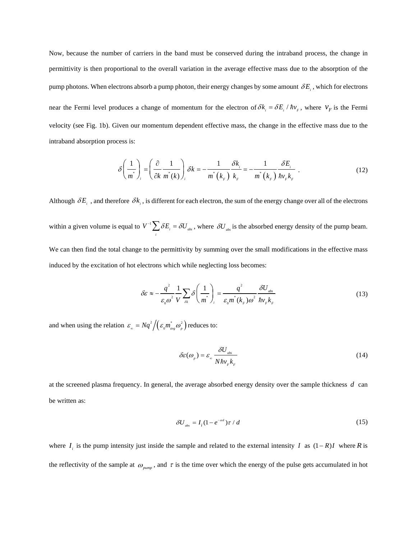Now, because the number of carriers in the band must be conserved during the intraband process, the change in permittivity is then proportional to the overall variation in the average effective mass due to the absorption of the pump photons. When electrons absorb a pump photon, their energy changes by some amount  $\delta E_i$ , which for electrons near the Fermi level produces a change of momentum for the electron of  $\delta k_i = \delta E_i / \hbar v_r$ , where  $v_f$  is the Fermi velocity (see Fig. 1b). Given our momentum dependent effective mass, the change in the effective mass due to the intraband absorption process is:

$$
\delta\left(\frac{1}{m^*}\right)_i = \left(\frac{\partial}{\partial k} \frac{1}{m^*(k)}\right)_i \delta k = -\frac{1}{m^* \left(k_F\right)} \frac{\delta k_i}{k_F} = -\frac{1}{m^* \left(k_F\right)} \frac{\delta E_i}{\hbar v_F k_F} \tag{12}
$$

Although  $\delta E_i$ , and therefore  $\delta k_i$ , is different for each electron, the sum of the energy change over all of the electrons within a given volume is equal to  $V^{-1} \sum_{i} \delta E_{i} = \delta U_{\text{abs}}$  $V^{-1} \sum \delta E_i = \delta U_{ab}$ , where  $\delta U_{ab}$  is the absorbed energy density of the pump beam. We can then find the total change to the permittivity by summing over the small modifications in the effective mass

induced by the excitation of hot electrons which while neglecting loss becomes:

$$
\delta \varepsilon \approx -\frac{q^2}{\varepsilon_0 \omega^2} \frac{1}{V} \sum_{\delta k} \delta \left( \frac{1}{m^*} \right)_i = \frac{q^2}{\varepsilon_0 m^* (k_F) \omega^2} \frac{\delta U_{\text{abs}}}{\hbar v_F k_F} \tag{13}
$$

and when using the relation  $\varepsilon_{\infty} = Nq^2/(\varepsilon_0 m_{avg}^2 \omega_p^2)$  reduces to:

$$
\delta \varepsilon(\omega_p) = \varepsilon_{\infty} \frac{\delta U_{\text{abs}}}{N \hbar v_{\text{F}} k_{\text{F}}} \tag{14}
$$

at the screened plasma frequency. In general, the average absorbed energy density over the sample thickness *d* can be written as:

$$
\delta U_{\text{abs}} = I_i (1 - e^{-ad}) \tau / d \tag{15}
$$

where  $I_i$  is the pump intensity just inside the sample and related to the external intensity *I* as  $(1 - R)I$  where *R* is the reflectivity of the sample at  $\omega_{\text{num}}$ , and  $\tau$  is the time over which the energy of the pulse gets accumulated in hot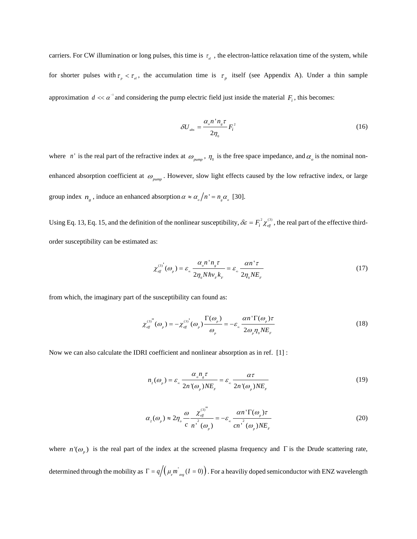carriers. For CW illumination or long pulses, this time is  $\tau_{el}$ , the electron-lattice relaxation time of the system, while for shorter pulses with  $\tau_p < \tau_{el}$ , the accumulation time is  $\tau_p$  itself (see Appendix A). Under a thin sample approximation  $d \ll \alpha^{-1}$  and considering the pump electric field just inside the material  $F_i$ , this becomes:

$$
\delta U_{\text{abs}} = \frac{\alpha_{\text{s}} n^{\text{!}} n_{\text{s}} \tau}{2 \eta_{\text{o}}} F_{\text{i}}^2 \tag{16}
$$

where *n* ' is the real part of the refractive index at  $\omega_{\text{pump}}$ ,  $\eta_0$  is the free space impedance, and  $\alpha$  is the nominal nonenhanced absorption coefficient at  $\omega_{pump}$ . However, slow light effects caused by the low refractive index, or large group index  $n_e$ , induce an enhanced absorption  $\alpha \approx \alpha_e / n' = n_e \alpha_e$  [30].

Using Eq. 13, Eq. 15, and the definition of the nonlinear susceptibility,  $\delta \varepsilon = F_i^2 \chi_{\text{eff}}^{(3)}$ , the real part of the effective thirdorder susceptibility can be estimated as:

$$
\chi_{\text{eff}}^{^{(3)}}(\omega_p) = \varepsilon_{\infty} \frac{\alpha_{\text{e}} n^{\text{'}n}_{\text{g}} \tau}{2 \eta_{\text{o}} N \hbar v_{\text{r}} k_{\text{r}}} = \varepsilon_{\infty} \frac{\alpha n^{\text{'}\tau}}{2 \eta_{\text{o}} N E_{\text{r}}}
$$
(17)

from which, the imaginary part of the susceptibility can found as:

$$
\chi_{\text{eff}}^{(3)''}(\omega_p) = -\chi_{\text{eff}}^{(3)'}(\omega_p) \frac{\Gamma(\omega_p)}{\omega_p} = -\varepsilon_{\infty} \frac{\alpha n \Gamma(\omega_p) \tau}{2\omega_p \eta_0 N E_F}
$$
(18)

Now we can also calculate the IDRI coefficient and nonlinear absorption as in ref. [1] :

$$
n_2(\omega_p) = \varepsilon_{\infty} \frac{\alpha_{\circ} n_{\rm g} \tau}{2n'(\omega_p) N E_{\rm F}} = \varepsilon_{\infty} \frac{\alpha \tau}{2n'(\omega_p) N E_{\rm F}}
$$
(19)

$$
\alpha_{2}(\omega_{p}) \approx 2\eta_{o} \frac{\omega}{c} \frac{\chi_{\text{eff}}^{(3)}}{n^2(\omega_{p})} = -\varepsilon_{\infty} \frac{\alpha n^{\prime} \Gamma(\omega_{p}) \tau}{c n^2(\omega_{p}) N E_{F}}
$$
(20)

where  $n'(\omega_p)$  is the real part of the index at the screened plasma frequency and Γ is the Drude scattering rate, determined through the mobility as  $\Gamma = q/( \mu_e m_{avg}^*(I=0))$ . For a heaviliy doped semiconductor with ENZ wavelength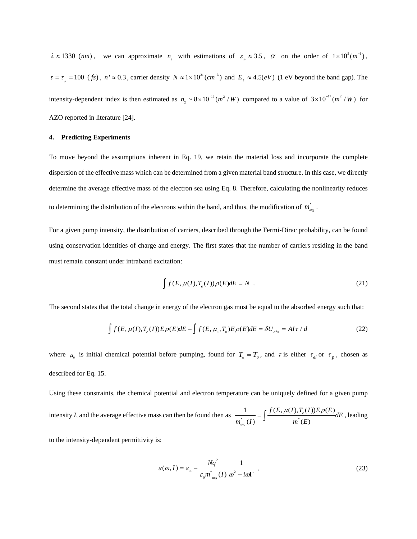$\lambda \approx 1330 \text{ (nm)}$ , we can approximate  $n_2$  with estimations of  $\varepsilon_{\infty} \approx 3.5$ ,  $\alpha$  on the order of  $1 \times 10^5 (m^{-1})$ ,  $\tau = \tau_p = 100$  (*fs*),  $n' \approx 0.3$ , carrier density  $N \approx 1 \times 10^{21} (cm^{-3})$  and  $E_f \approx 4.5 (eV)$  (1 eV beyond the band gap). The intensity-dependent index is then estimated as  $n_2 \sim 8 \times 10^{-17} (m^2/W)$  compared to a value of  $3 \times 10^{-17} (m^2/W)$  for AZO reported in literature [24].

## **4. Predicting Experiments**

To move beyond the assumptions inherent in Eq. 19, we retain the material loss and incorporate the complete dispersion of the effective mass which can be determined from a given material band structure. In this case, we directly determine the average effective mass of the electron sea using Eq. 8. Therefore, calculating the nonlinearity reduces to determining the distribution of the electrons within the band, and thus, the modification of  $m_{_{avg}}^*$ .

For a given pump intensity, the distribution of carriers, described through the Fermi-Dirac probability, can be found using conservation identities of charge and energy. The first states that the number of carriers residing in the band must remain constant under intraband excitation:

$$
\int f(E, \mu(I), T_e(I)) \rho(E) dE = N \tag{21}
$$

The second states that the total change in energy of the electron gas must be equal to the absorbed energy such that:

$$
\int f(E, \mu(I), T_e(I)) E \rho(E) dE - \int f(E, \mu_0, T_0) E \rho(E) dE = \delta U_{\text{abs}} = A I \tau / d \tag{22}
$$

where  $\mu_0$  is initial chemical potential before pumping, found for  $T_e = T_0$ , and  $\tau$  is either  $\tau_{el}$  or  $\tau_p$ , chosen as described for Eq. 15.

Using these constraints, the chemical potential and electron temperature can be uniquely defined for a given pump intensity *I*, and the average effective mass can then be found then as  $\frac{1}{\sigma^* (L)} = \int \frac{f(E, \mu(I), T_e(I)) E \rho(E)}{\sigma^* (L)}$  $\int_{avg}^{\infty}(I)$  *d*  $\int_{avg}^{\infty}(E)$  $\frac{f(E, \mu(I), T_e(I))E\rho(E)}{dE}$  $\frac{1}{m_{\text{max}}^*(I)} = \int \frac{f(E, \mu(I), I_e(I))E\rho(E)}{m^*(E)} dE$ , leading

to the intensity-dependent permittivity is:

$$
\varepsilon(\omega, I) = \varepsilon_{\infty} - \frac{Nq^2}{\varepsilon_0 m^*_{\omega g}(I)} \frac{1}{\omega^2 + i\omega\Gamma} \tag{23}
$$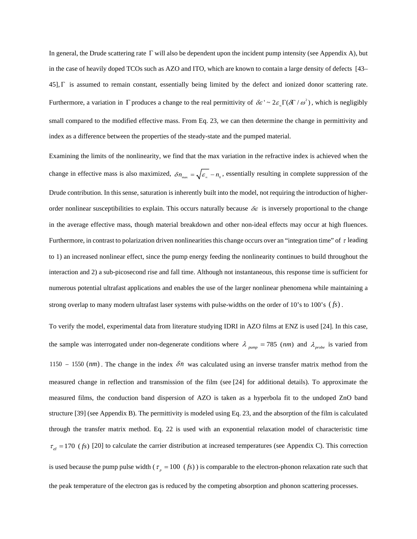In general, the Drude scattering rate  $\Gamma$  will also be dependent upon the incident pump intensity (see Appendix A), but in the case of heavily doped TCOs such as AZO and ITO, which are known to contain a large density of defects [43– 45],  $\Gamma$  is assumed to remain constant, essentially being limited by the defect and ionized donor scattering rate. Furthermore, a variation in  $\Gamma$  produces a change to the real permittivity of  $\delta \varepsilon' \sim 2 \varepsilon \Gamma(\delta \Gamma / \omega^2)$ , which is negligibly small compared to the modified effective mass. From Eq. 23, we can then determine the change in permittivity and index as a difference between the properties of the steady-state and the pumped material.

Examining the limits of the nonlinearity, we find that the max variation in the refractive index is achieved when the change in effective mass is also maximized,  $\delta n_{\text{max}} = \sqrt{\varepsilon_{\text{max}}} - n_{\text{o}}$ , essentially resulting in complete suppression of the Drude contribution. In this sense, saturation is inherently built into the model, not requiring the introduction of higherorder nonlinear susceptibilities to explain. This occurs naturally because  $\delta \varepsilon$  is inversely proportional to the change in the average effective mass, though material breakdown and other non-ideal effects may occur at high fluences. Furthermore, in contrast to polarization driven nonlinearities this change occurs over an "integration time" of  $\tau$  leading to 1) an increased nonlinear effect, since the pump energy feeding the nonlinearity continues to build throughout the interaction and 2) a sub-picosecond rise and fall time. Although not instantaneous, this response time is sufficient for numerous potential ultrafast applications and enables the use of the larger nonlinear phenomena while maintaining a strong overlap to many modern ultrafast laser systems with pulse-widths on the order of 10's to 100's (*fs*).

To verify the model, experimental data from literature studying IDRI in AZO films at ENZ is used [24]. In this case, the sample was interrogated under non-degenerate conditions where  $\lambda_{pump} = 785$  (nm) and  $\lambda_{probe}$  is varied from 1150 – 1550 (nm). The change in the index  $\delta n$  was calculated using an inverse transfer matrix method from the measured change in reflection and transmission of the film (see [24] for additional details). To approximate the measured films, the conduction band dispersion of AZO is taken as a hyperbola fit to the undoped ZnO band structure [39] (see Appendix B). The permittivity is modeled using Eq. 23, and the absorption of the film is calculated through the transfer matrix method. Eq. 22 is used with an exponential relaxation model of characteristic time  $\tau_{el}$  = 170 (*fs*) [20] to calculate the carrier distribution at increased temperatures (see Appendix C). This correction is used because the pump pulse width ( $\tau_p = 100$  (*fs*)) is comparable to the electron-phonon relaxation rate such that the peak temperature of the electron gas is reduced by the competing absorption and phonon scattering processes.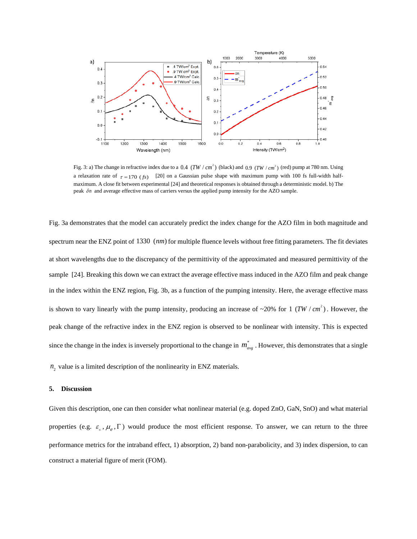

Fig. 3: a) The change in refractive index due to a  $0.4$  (TW  $/cm<sup>2</sup>$ ) (black) and  $0.9$  (TW  $/cm<sup>2</sup>$ ) (red) pump at 780 nm. Using a relaxation rate of  $\tau = 170$  (*fs*) [20] on a Gaussian pulse shape with maximum pump with 100 fs full-width halfmaximum. A close fit between experimental [24] and theoretical responses is obtained through a deterministic model. b) The peak δn and average effective mass of carriers versus the applied pump intensity for the AZO sample.

Fig. 3a demonstrates that the model can accurately predict the index change for the AZO film in both magnitude and spectrum near the ENZ point of 1330 (nm) for multiple fluence levels without free fitting parameters. The fit deviates at short wavelengths due to the discrepancy of the permittivity of the approximated and measured permittivity of the sample [24]. Breaking this down we can extract the average effective mass induced in the AZO film and peak change in the index within the ENZ region, Fig. 3b, as a function of the pumping intensity. Here, the average effective mass is shown to vary linearly with the pump intensity, producing an increase of  $\sim$ 20% for 1 (TW / cm<sup>2</sup>). However, the peak change of the refractive index in the ENZ region is observed to be nonlinear with intensity. This is expected since the change in the index is inversely proportional to the change in  $m_{\text{ave}}^*$ . However, this demonstrates that a single

 $n_2$  value is a limited description of the nonlinearity in ENZ materials.

# **5. Discussion**

Given this description, one can then consider what nonlinear material (e.g. doped ZnO, GaN, SnO) and what material properties (e.g.  $\varepsilon_{\alpha}$ ,  $\mu_{\beta}$ ,  $\Gamma$ ) would produce the most efficient response. To answer, we can return to the three performance metrics for the intraband effect, 1) absorption, 2) band non-parabolicity, and 3) index dispersion, to can construct a material figure of merit (FOM).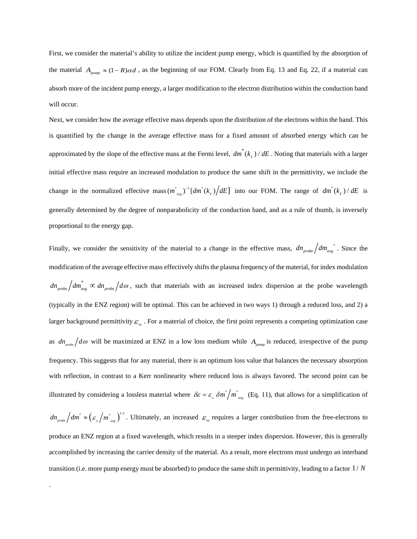First, we consider the material's ability to utilize the incident pump energy, which is quantified by the absorption of the material  $A_{pump} \approx (1 - R)\alpha d$ , as the beginning of our FOM. Clearly from Eq. 13 and Eq. 22, if a material can absorb more of the incident pump energy, a larger modification to the electron distribution within the conduction band will occur.

Next, we consider how the average effective mass depends upon the distribution of the electrons within the band. This is quantified by the change in the average effective mass for a fixed amount of absorbed energy which can be approximated by the slope of the effective mass at the Fermi level,  $dm^*(k_F)/dE$ . Noting that materials with a larger initial effective mass require an increased modulation to produce the same shift in the permittivity, we include the change in the normalized effective mass  $(m_{avg}^*)^{-1} [dm^*(k_F)/dE]$  into our FOM. The range of  $dm^*(k_F)/dE$  is generally determined by the degree of nonparabolicity of the conduction band, and as a rule of thumb, is inversely proportional to the energy gap.

Finally, we consider the sensitivity of the material to a change in the effective mass,  $dm_{probe}/dm_{avg}$ <sup>\*</sup>. Since the modification of the average effective mass effectively shifts the plasma frequency of the material, for index modulation  $dn_{probe}$   $dm_{avg}^* \propto dn_{probe}$   $/d\omega$ , such that materials with an increased index dispersion at the probe wavelength (typically in the ENZ region) will be optimal. This can be achieved in two ways 1) through a reduced loss, and 2) a larger background permittivity  $\varepsilon_{\infty}$ . For a material of choice, the first point represents a competing optimization case as  $dn_{\text{probe}}/d\omega$  will be maximized at ENZ in a low loss medium while  $A_{\text{pump}}$  is reduced, irrespective of the pump frequency. This suggests that for any material, there is an optimum loss value that balances the necessary absorption with reflection, in contrast to a Kerr nonlinearity where reduced loss is always favored. The second point can be illustrated by considering a lossless material where  $\delta \varepsilon = \varepsilon_{\infty} \delta m^* / m^*_{avg}$  (Eq. 11), that allows for a simplification of  $dn_{\text{probe}}/dm^* \approx (\varepsilon_{\text{m}}/m^*_{\text{avg}})^{1/2}$ . Ultimately, an increased  $\varepsilon_{\text{m}}$  requires a larger contribution from the free-electrons to produce an ENZ region at a fixed wavelength, which results in a steeper index dispersion. However, this is generally accomplished by increasing the carrier density of the material. As a result, more electrons must undergo an interband transition (i.e. more pump energy must be absorbed) to produce the same shift in permittivity, leading to a factor 1 / *N*

.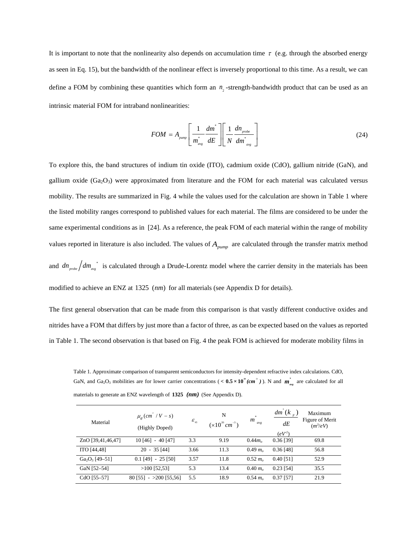It is important to note that the nonlinearity also depends on accumulation time  $\tau$  (e.g. through the absorbed energy as seen in Eq. 15), but the bandwidth of the nonlinear effect is inversely proportional to this time. As a result, we can define a FOM by combining these quantities which form an  $n<sub>z</sub>$ -strength-bandwidth product that can be used as an intrinsic material FOM for intraband nonlinearities:

$$
FOM = A_{pump} \left[ \frac{1}{m_{avg}^{*}} \frac{dm^{*}}{dE} \right] \left[ \frac{1}{N} \frac{dn_{\text{probe}}}{dm_{\text{avg}}^{*}} \right]
$$
 (24)

To explore this, the band structures of indium tin oxide (ITO), cadmium oxide (CdO), gallium nitride (GaN), and gallium oxide  $(Ga_2O_3)$  were approximated from literature and the FOM for each material was calculated versus mobility. The results are summarized in Fig. 4 while the values used for the calculation are shown in Table 1 where the listed mobility ranges correspond to published values for each material. The films are considered to be under the same experimental conditions as in [24]. As a reference, the peak FOM of each material within the range of mobility values reported in literature is also included. The values of *Apump* are calculated through the transfer matrix method and  $dn_{\text{probe}}/dm_{\text{avg}}^{*}$  is calculated through a Drude-Lorentz model where the carrier density in the materials has been modified to achieve an ENZ at 1325 (*nm*) for all materials (see Appendix D for details).

The first general observation that can be made from this comparison is that vastly different conductive oxides and nitrides have a FOM that differs by just more than a factor of three, as can be expected based on the values as reported in Table 1. The second observation is that based on Fig. 4 the peak FOM is achieved for moderate mobility films in

Table 1. Approximate comparison of transparent semiconductors for intensity-dependent refractive index calculations. CdO, GaN, and Ga<sub>2</sub>O<sub>3</sub> mobilities are for lower carrier concentrations (<  $0.5 \times 10^{4}$  (cm<sup>3</sup>)). N and  $m_{\text{avg}}^{*}$  are calculated for all materials to generate an ENZ wavelength of **1325** *(nm)* (See Appendix D).

| Material          | $\mu_e$ (cm <sup>2</sup> / V – s)<br>(Highly Doped) | $\varepsilon_{\infty}$ | N<br>$(\times 10^{20} cm^{-3})$ | $\approx$<br>$m_{_{avg}}$ | $dm^{\dagger}(k_{F})$<br>dE<br>(eV <sup>1</sup> ) | Maximum<br>Figure of Merit<br>$(m^3/eV)$ |
|-------------------|-----------------------------------------------------|------------------------|---------------------------------|---------------------------|---------------------------------------------------|------------------------------------------|
| ZnO [39,41,46,47] | $10[46] - 40[47]$                                   | 3.3                    | 9.19                            | $0.44$ m <sub>o</sub>     | $0.36$ [39]                                       | 69.8                                     |
| ITO [44,48]       | $20 - 35$ [44]                                      | 3.66                   | 11.3                            | $0.49 m_{\odot}$          | $0.36$ [48]                                       | 56.8                                     |
| $Ga_2O_3$ [49-51] | $0.1$ [49] - 25 [50]                                | 3.57                   | 11.8                            | $0.52 \; m_{\odot}$       | $0.40$ [51]                                       | 52.9                                     |
| GaN [52-54]       | $>100$ [52,53]                                      | 5.3                    | 13.4                            | $0.40 m_{\odot}$          | $0.23$ [54]                                       | 35.5                                     |
| CdO [55-57]       | $80$ [55] - >200 [55,56]                            | 5.5                    | 18.9                            | $0.54 \; m_{\odot}$       | 0.37 [57]                                         | 21.9                                     |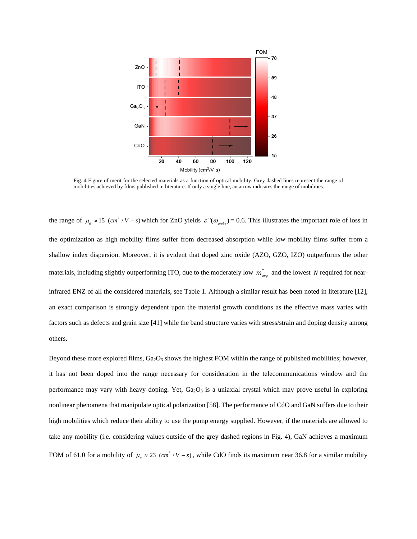

Fig. 4 Figure of merit for the selected materials as a function of optical mobility. Grey dashed lines represent the range of mobilities achieved by films published in literature. If only a single line, an arrow indicates the range of mobilities.

the range of  $\mu_e \approx 15$  (cm<sup>2</sup> / V - s) which for ZnO yields  $\varepsilon''(\omega_{\text{probe}}) = 0.6$ . This illustrates the important role of loss in the optimization as high mobility films suffer from decreased absorption while low mobility films suffer from a shallow index dispersion. Moreover, it is evident that doped zinc oxide (AZO, GZO, IZO) outperforms the other materials, including slightly outperforming ITO, due to the moderately low  $m_{avg}^*$  and the lowest *N* required for nearinfrared ENZ of all the considered materials, see Table 1. Although a similar result has been noted in literature [12], an exact comparison is strongly dependent upon the material growth conditions as the effective mass varies with factors such as defects and grain size [41] while the band structure varies with stress/strain and doping density among others.

Beyond these more explored films,  $Ga_2O_3$  shows the highest FOM within the range of published mobilities; however, it has not been doped into the range necessary for consideration in the telecommunications window and the performance may vary with heavy doping. Yet,  $Ga<sub>2</sub>O<sub>3</sub>$  is a uniaxial crystal which may prove useful in exploring nonlinear phenomena that manipulate optical polarization [58]. The performance of CdO and GaN suffers due to their high mobilities which reduce their ability to use the pump energy supplied. However, if the materials are allowed to take any mobility (i.e. considering values outside of the grey dashed regions in Fig. 4), GaN achieves a maximum FOM of 61.0 for a mobility of  $\mu_e \approx 23$  (cm<sup>2</sup> / V - s), while CdO finds its maximum near 36.8 for a similar mobility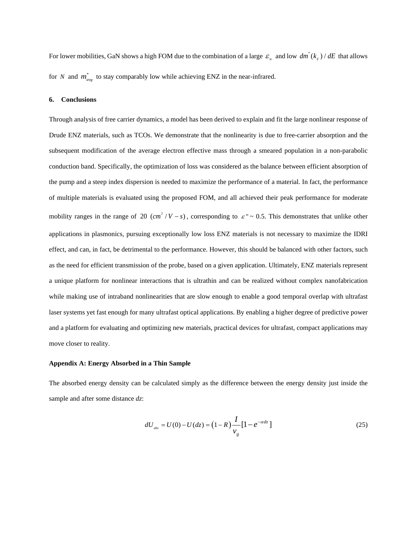For lower mobilities, GaN shows a high FOM due to the combination of a large  $\varepsilon_{\infty}$  and low  $dm^*(k_F) / dE$  that allows for *N* and  $m_{avg}^*$  to stay comparably low while achieving ENZ in the near-infrared.

#### **6. Conclusions**

Through analysis of free carrier dynamics, a model has been derived to explain and fit the large nonlinear response of Drude ENZ materials, such as TCOs. We demonstrate that the nonlinearity is due to free-carrier absorption and the subsequent modification of the average electron effective mass through a smeared population in a non-parabolic conduction band. Specifically, the optimization of loss was considered as the balance between efficient absorption of the pump and a steep index dispersion is needed to maximize the performance of a material. In fact, the performance of multiple materials is evaluated using the proposed FOM, and all achieved their peak performance for moderate mobility ranges in the range of 20  $(cm^2/V - s)$ , corresponding to  $\varepsilon$ " ~ 0.5. This demonstrates that unlike other applications in plasmonics, pursuing exceptionally low loss ENZ materials is not necessary to maximize the IDRI effect, and can, in fact, be detrimental to the performance. However, this should be balanced with other factors, such as the need for efficient transmission of the probe, based on a given application. Ultimately, ENZ materials represent a unique platform for nonlinear interactions that is ultrathin and can be realized without complex nanofabrication while making use of intraband nonlinearities that are slow enough to enable a good temporal overlap with ultrafast laser systems yet fast enough for many ultrafast optical applications. By enabling a higher degree of predictive power and a platform for evaluating and optimizing new materials, practical devices for ultrafast, compact applications may move closer to reality.

## **Appendix A: Energy Absorbed in a Thin Sample**

The absorbed energy density can be calculated simply as the difference between the energy density just inside the sample and after some distance *dz*:

$$
dU_{\text{abs}} = U(0) - U(dz) = (1 - R) \frac{I}{v_g} [1 - e^{-\alpha dz}]
$$
\n(25)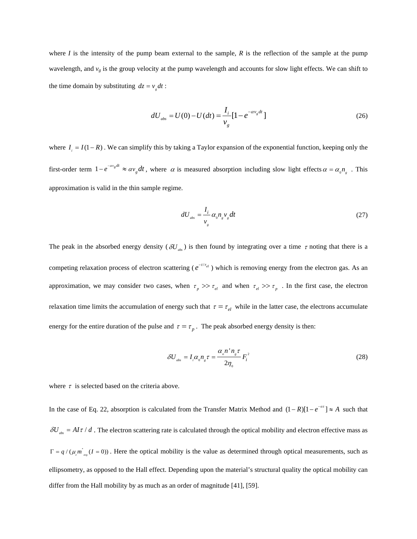where *I* is the intensity of the pump beam external to the sample, *R* is the reflection of the sample at the pump wavelength, and  $v_g$  is the group velocity at the pump wavelength and accounts for slow light effects. We can shift to the time domain by substituting  $dz = v<sub>s</sub> dt$ :

$$
dU_{\text{abs}} = U(0) - U(dt) = \frac{I_i}{v_g} [1 - e^{-\alpha v_g dt}]
$$
\n(26)

where  $I_i = I(1 - R)$ . We can simplify this by taking a Taylor expansion of the exponential function, keeping only the first-order term  $1 - e^{-\alpha v_g dt} \approx \alpha v_g dt$ , where  $\alpha$  is measured absorption including slow light effects  $\alpha = \alpha_0 n_g$ . This approximation is valid in the thin sample regime.

$$
dU_{\rm abs} = \frac{I_i}{v_g} \alpha_0 n_g v_g dt \tag{27}
$$

The peak in the absorbed energy density ( $\delta U_{ab}$ ) is then found by integrating over a time  $\tau$  noting that there is a competing relaxation process of electron scattering ( $e^{-t/\tau_{el}}$ ) which is removing energy from the electron gas. As an approximation, we may consider two cases, when  $\tau_p \gg \tau_{el}$  and when  $\tau_{el} \gg \tau_p$ . In the first case, the electron relaxation time limits the accumulation of energy such that  $\tau = \tau_{el}$  while in the latter case, the electrons accumulate energy for the entire duration of the pulse and  $\tau = \tau_p$ . The peak absorbed energy density is then:

$$
\delta U_{\text{abs}} = I_i \alpha_0 n_{\text{s}} \tau = \frac{\alpha_{\text{s}} n^{\text{+}} n_{\text{s}} \tau}{2 \eta_0} F_i^2 \tag{28}
$$

where  $\tau$  is selected based on the criteria above.

In the case of Eq. 22, absorption is calculated from the Transfer Matrix Method and  $(1 - R)[1 - e^{-\alpha z}] \approx A$  such that  $\delta U_{ab} = A I \tau / d$ . The electron scattering rate is calculated through the optical mobility and electron effective mass as  $\Gamma = q / (\mu_{\ell} m_{\text{avg}}^* (I = 0))$ . Here the optical mobility is the value as determined through optical measurements, such as ellipsometry, as opposed to the Hall effect. Depending upon the material's structural quality the optical mobility can differ from the Hall mobility by as much as an order of magnitude [41], [59].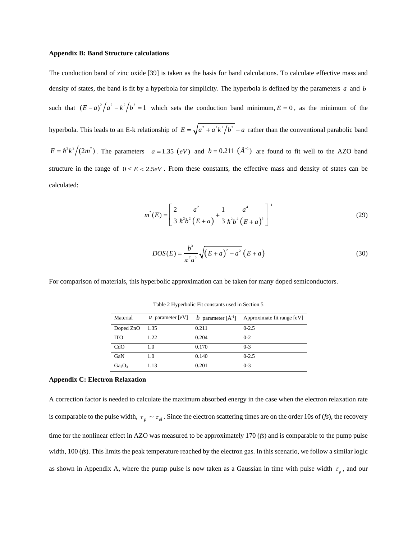#### **Appendix B: Band Structure calculations**

The conduction band of zinc oxide [39] is taken as the basis for band calculations. To calculate effective mass and density of states, the band is fit by a hyperbola for simplicity. The hyperbola is defined by the parameters *a* and *b* such that  $(E-a)^2/a^2 - k^2/b^2 = 1$  which sets the conduction band minimum,  $E = 0$ , as the minimum of the hyperbola. This leads to an E-k relationship of  $E = \sqrt{a^2 + a^2 k^2/b^2} - a$  rather than the conventional parabolic band  $E = \hbar^2 k^2 / (2m^*)$ . The parameters  $a = 1.35$  (eV) and  $b = 0.211$  ( $\AA^{-1}$ ) are found to fit well to the AZO band structure in the range of  $0 \le E < 2.5 eV$ . From these constants, the effective mass and density of states can be calculated:

$$
m^*(E) = \left[\frac{2}{3} \frac{a^2}{\hbar^2 b^2 (E+a)} + \frac{1}{3} \frac{a^4}{\hbar^2 b^2 (E+a)^3}\right]^{-1}
$$
(29)

$$
DOS(E) = \frac{b^3}{\pi^2 a^3} \sqrt{(E+a)^2 - a^2} (E+a)
$$
\n(30)

For comparison of materials, this hyperbolic approximation can be taken for many doped semiconductors.

| Material                       |      |       | <i>a</i> parameter [eV] <i>b</i> parameter $[\hat{A}^{-1}]$ Approximate fit range [eV] |
|--------------------------------|------|-------|----------------------------------------------------------------------------------------|
| Doped $ZnO$ 1.35               |      | 0.211 | $0 - 2.5$                                                                              |
| <b>ITO</b>                     | 1.22 | 0.204 | $0 - 2$                                                                                |
| CdO                            | 1.0  | 0.170 | $0 - 3$                                                                                |
| GaN                            | 1.0  | 0.140 | $0 - 2.5$                                                                              |
| Ga <sub>2</sub> O <sub>3</sub> | 1.13 | 0.201 | $0 - 3$                                                                                |

Table 2 Hyperbolic Fit constants used in Section 5

#### **Appendix C: Electron Relaxation**

A correction factor is needed to calculate the maximum absorbed energy in the case when the electron relaxation rate is comparable to the pulse width,  $\tau_p \sim \tau_{el}$ . Since the electron scattering times are on the order 10s of (*fs*), the recovery time for the nonlinear effect in AZO was measured to be approximately 170 (*fs*) and is comparable to the pump pulse width, 100 (*fs*). This limits the peak temperature reached by the electron gas. In this scenario, we follow a similar logic as shown in Appendix A, where the pump pulse is now taken as a Gaussian in time with pulse width  $\tau_p$ , and our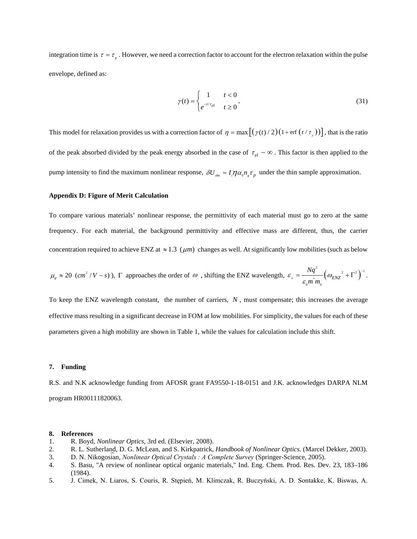integration time is  $\tau = \tau_p$ . However, we need a correction factor to account for the electron relaxation within the pulse envelope, defined as:

$$
\gamma(t) = \begin{cases} 1 & t < 0 \\ e^{-t/\tau_{el}} & t \ge 0 \end{cases} \tag{31}
$$

This model for relaxation provides us with a correction factor of  $\eta = \max[(\gamma(t)/2)(1 + \text{erf}(t/\tau))]$ , that is the ratio of the peak absorbed divided by the peak energy absorbed in the case of  $\tau_{el} \sim \infty$ . This factor is then applied to the pump intensity to find the maximum nonlinear response,  $\delta U_{ab} = I_i \eta \alpha_0 n_i \tau_n$  under the thin sample approximation.

# **Appendix D: Figure of Merit Calculation**

To compare various materials' nonlinear response, the permittivity of each material must go to zero at the same frequency. For each material, the background permittivity and effective mass are different, thus, the carrier concentration required to achieve ENZ at  $\approx 1.3$  ( $\mu$ m) changes as well. At significantly low mobilities (such as below

$$
\mu_e \approx 20
$$
 (cm<sup>2</sup> / V - s),  $\Gamma$  approaches the order of  $\omega$ , shifting the ENZ wavelength,  $\varepsilon_{\infty} = \frac{Nq^2}{\varepsilon_0 m^* m_0} \left(\omega_{ENZ}^2 + \Gamma^2\right)^{-1}$ .

To keep the ENZ wavelength constant, the number of carriers, *N* , must compensate; this increases the average effective mass resulting in a significant decrease in FOM at low mobilities. For simplicity, the values for each of these parameters given a high mobility are shown in Table 1, while the values for calculation include this shift.

#### **7. Funding**

R.S. and N.K acknowledge funding from AFOSR grant FA9550-1-18-0151 and J.K. acknowledges DARPA NLM program HR00111820063.

## **8. References**

- 1. R. Boyd, *Nonlinear Optics*, 3rd ed. (Elsevier, 2008).
- 2. R. L. Sutherland, D. G. McLean, and S. Kirkpatrick, *Handbook of Nonlinear Optics.* (Marcel Dekker, 2003).
- 3. D. N. Nikogosian, *Nonlinear Optical Crystals* : A Complete Survey (Springer-Science, 2005). ︠
- 4. S. Basu, "A review of nonlinear optical organic materials," Ind. Eng. Chem. Prod. Res. Dev. 23, 183–186 (1984).
- 5. J. Cimek, N. Liaros, S. Couris, R. Stępień, M. Klimczak, R. Buczyński, A. D. Sontakke, K. Biswas, A.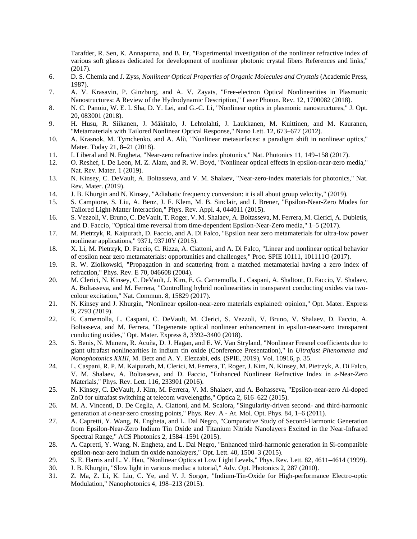Tarafder, R. Sen, K. Annapurna, and B. Er, "Experimental investigation of the nonlinear refractive index of various soft glasses dedicated for development of nonlinear photonic crystal fibers References and links," (2017).

- 6. D. S. Chemla and J. Zyss, *Nonlinear Optical Properties of Organic Molecules and Crystals* (Academic Press, 1987).
- 7. A. V. Krasavin, P. Ginzburg, and A. V. Zayats, "Free-electron Optical Nonlinearities in Plasmonic Nanostructures: A Review of the Hydrodynamic Description," Laser Photon. Rev. 12, 1700082 (2018).
- 8. N. C. Panoiu, W. E. I. Sha, D. Y. Lei, and G.-C. Li, "Nonlinear optics in plasmonic nanostructures," J. Opt. 20, 083001 (2018).
- 9. H. Husu, R. Siikanen, J. Mäkitalo, J. Lehtolahti, J. Laukkanen, M. Kuittinen, and M. Kauranen, "Metamaterials with Tailored Nonlinear Optical Response," Nano Lett. 12, 673–677 (2012).
- 10. A. Krasnok, M. Tymchenko, and A. Alù, "Nonlinear metasurfaces: a paradigm shift in nonlinear optics," Mater. Today 21, 8–21 (2018).
- 11. I. Liberal and N. Engheta, "Near-zero refractive index photonics," Nat. Photonics 11, 149–158 (2017).
- 12. O. Reshef, I. De Leon, M. Z. Alam, and R. W. Boyd, "Nonlinear optical effects in epsilon-near-zero media," Nat. Rev. Mater. 1 (2019).
- 13. N. Kinsey, C. DeVault, A. Boltasseva, and V. M. Shalaev, "Near-zero-index materials for photonics," Nat. Rev. Mater. (2019).
- 14. J. B. Khurgin and N. Kinsey, "Adiabatic frequency conversion: it is all about group velocity," (2019).
- 15. S. Campione, S. Liu, A. Benz, J. F. Klem, M. B. Sinclair, and I. Brener, "Epsilon-Near-Zero Modes for Tailored Light-Matter Interaction," Phys. Rev. Appl. 4, 044011 (2015).
- 16. S. Vezzoli, V. Bruno, C. DeVault, T. Roger, V. M. Shalaev, A. Boltasseva, M. Ferrera, M. Clerici, A. Dubietis, and D. Faccio, "Optical time reversal from time-dependent Epsilon-Near-Zero media," 1–5 (2017).
- 17. M. Pietrzyk, R. Kaipurath, D. Faccio, and A. Di Falco, "Epsilon near zero metamaterials for ultra-low power nonlinear applications," 9371, 93710Y (2015).
- 18. X. Li, M. Pietrzyk, D. Faccio, C. Rizza, A. Ciattoni, and A. Di Falco, "Linear and nonlinear optical behavior of epsilon near zero metamaterials: opportunities and challenges," Proc. SPIE 10111, 101111O (2017).
- 19. R. W. Ziolkowski, "Propagation in and scattering from a matched metamaterial having a zero index of refraction," Phys. Rev. E 70, 046608 (2004).
- 20. M. Clerici, N. Kinsey, C. DeVault, J. Kim, E. G. Carnemolla, L. Caspani, A. Shaltout, D. Faccio, V. Shalaev, A. Boltasseva, and M. Ferrera, "Controlling hybrid nonlinearities in transparent conducting oxides via twocolour excitation," Nat. Commun. 8, 15829 (2017).
- 21. N. Kinsey and J. Khurgin, "Nonlinear epsilon-near-zero materials explained: opinion," Opt. Mater. Express 9, 2793 (2019).
- 22. E. Carnemolla, L. Caspani, C. DeVault, M. Clerici, S. Vezzoli, V. Bruno, V. Shalaev, D. Faccio, A. Boltasseva, and M. Ferrera, "Degenerate optical nonlinear enhancement in epsilon-near-zero transparent conducting oxides," Opt. Mater. Express 8, 3392–3400 (2018).
- 23. S. Benis, N. Munera, R. Acuña, D. J. Hagan, and E. W. Van Stryland, "Nonlinear Fresnel coefficients due to giant ultrafast nonlinearities in indium tin oxide (Conference Presentation)," in *Ultrafast Phenomena and Nanophotonics XXIII*, M. Betz and A. Y. Elezzabi, eds. (SPIE, 2019), Vol. 10916, p. 35.
- 24. L. Caspani, R. P. M. Kaipurath, M. Clerici, M. Ferrera, T. Roger, J. Kim, N. Kinsey, M. Pietrzyk, A. Di Falco, V. M. Shalaev, A. Boltasseva, and D. Faccio, "Enhanced Nonlinear Refractive Index in ε-Near-Zero Materials," Phys. Rev. Lett. 116, 233901 (2016).
- 25. N. Kinsey, C. DeVault, J. Kim, M. Ferrera, V. M. Shalaev, and A. Boltasseva, "Epsilon-near-zero Al-doped ZnO for ultrafast switching at telecom wavelengths," Optica 2, 616–622 (2015).
- 26. M. A. Vincenti, D. De Ceglia, A. Ciattoni, and M. Scalora, "Singularity-driven second- and third-harmonic generation at ε-near-zero crossing points," Phys. Rev. A - At. Mol. Opt. Phys. 84, 1–6 (2011).
- 27. A. Capretti, Y. Wang, N. Engheta, and L. Dal Negro, "Comparative Study of Second-Harmonic Generation from Epsilon-Near-Zero Indium Tin Oxide and Titanium Nitride Nanolayers Excited in the Near-Infrared Spectral Range," ACS Photonics 2, 1584–1591 (2015).
- 28. A. Capretti, Y. Wang, N. Engheta, and L. Dal Negro, "Enhanced third-harmonic generation in Si-compatible epsilon-near-zero indium tin oxide nanolayers," Opt. Lett. 40, 1500–3 (2015).
- 29. S. E. Harris and L. V. Hau, "Nonlinear Optics at Low Light Levels," Phys. Rev. Lett. 82, 4611–4614 (1999).<br>30. J. B. Khurgin, "Slow light in various media: a tutorial," Adv. Opt. Photonics 2, 287 (2010).
- J. B. Khurgin, "Slow light in various media: a tutorial," Adv. Opt. Photonics 2, 287 (2010).
- 31. Z. Ma, Z. Li, K. Liu, C. Ye, and V. J. Sorger, "Indium-Tin-Oxide for High-performance Electro-optic Modulation," Nanophotonics 4, 198–213 (2015).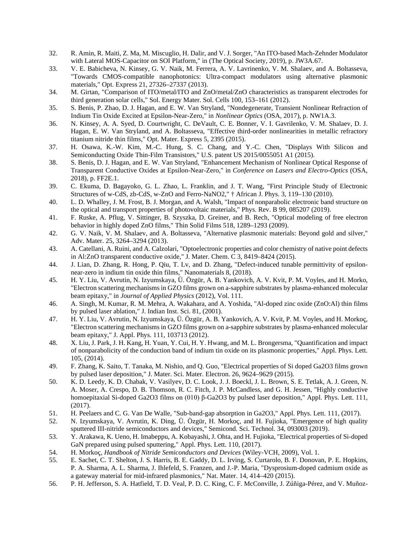- 32. R. Amin, R. Maiti, Z. Ma, M. Miscuglio, H. Dalir, and V. J. Sorger, "An ITO-based Mach-Zehnder Modulator with Lateral MOS-Capacitor on SOI Platform," in (The Optical Society, 2019), p. JW3A.67.
- 33. V. E. Babicheva, N. Kinsey, G. V. Naik, M. Ferrera, A. V. Lavrinenko, V. M. Shalaev, and A. Boltasseva, "Towards CMOS-compatible nanophotonics: Ultra-compact modulators using alternative plasmonic materials," Opt. Express 21, 27326–27337 (2013).
- 34. M. Girtan, "Comparison of ITO/metal/ITO and ZnO/metal/ZnO characteristics as transparent electrodes for third generation solar cells," Sol. Energy Mater. Sol. Cells 100, 153–161 (2012).
- 35. S. Benis, P. Zhao, D. J. Hagan, and E. W. Van Stryland, "Nondegenerate, Transient Nonlinear Refraction of Indium Tin Oxide Excited at Epsilon-Near-Zero," in *Nonlinear Optics* (OSA, 2017), p. NW1A.3.
- 36. N. Kinsey, A. A. Syed, D. Courtwright, C. DeVault, C. E. Bonner, V. I. Gavrilenko, V. M. Shalaev, D. J. Hagan, E. W. Van Stryland, and A. Boltasseva, "Effective third-order nonlinearities in metallic refractory titanium nitride thin films," Opt. Mater. Express 5, 2395 (2015).
- 37. H. Osawa, K.-W. Kim, M.-C. Hung, S. C. Chang, and Y.-C. Chen, "Displays With Silicon and Semiconducting Oxide Thin-Film Transistors," U.S. patent US 2015/0055051 A1 (2015).
- 38. S. Benis, D. J. Hagan, and E. W. Van Stryland, "Enhancement Mechanism of Nonlinear Optical Response of Transparent Conductive Oxides at Epsilon-Near-Zero," in *Conference on Lasers and Electro-Optics* (OSA, 2018), p. FF2E.1.
- 39. C. Ekuma, D. Bagayoko, G. L. Zhao, L. Franklin, and J. T. Wang, "First Principle Study of Electronic Structures of w-CdS, zb-CdS, w-ZnO and Ferro-NaNO2," † African J. Phys. 3, 119–130 (2010).
- 40. L. D. Whalley, J. M. Frost, B. J. Morgan, and A. Walsh, "Impact of nonparabolic electronic band structure on the optical and transport properties of photovoltaic materials," Phys. Rev. B 99, 085207 (2019).
- 41. F. Ruske, A. Pflug, V. Sittinger, B. Szyszka, D. Greiner, and B. Rech, "Optical modeling of free electron behavior in highly doped ZnO films," Thin Solid Films 518, 1289–1293 (2009).
- 42. G. V. Naik, V. M. Shalaev, and A. Boltasseva, "Alternative plasmonic materials: Beyond gold and silver," Adv. Mater. 25, 3264–3294 (2013).
- 43. A. Catellani, A. Ruini, and A. Calzolari, "Optoelectronic properties and color chemistry of native point defects in Al:ZnO transparent conductive oxide," J. Mater. Chem. C 3, 8419–8424 (2015).
- 44. J. Lian, D. Zhang, R. Hong, P. Qiu, T. Lv, and D. Zhang, "Defect-induced tunable permittivity of epsilonnear-zero in indium tin oxide thin films," Nanomaterials 8, (2018).
- 45. H. Y. Liu, V. Avrutin, N. Izyumskaya, Ü. Özgür, A. B. Yankovich, A. V. Kvit, P. M. Voyles, and H. Morko, "Electron scattering mechanisms in GZO films grown on a-sapphire substrates by plasma-enhanced molecular beam epitaxy," in *Journal of Applied Physics* (2012), Vol. 111.
- 46. A. Singh, M. Kumar, R. M. Mehra, A. Wakahara, and A. Yoshida, "Al-doped zinc oxide (ZnO:Al) thin films by pulsed laser ablation," J. Indian Inst. Sci. 81, (2001).
- 47. H. Y. Liu, V. Avrutin, N. Izyumskaya, Ü. Özgür, A. B. Yankovich, A. V. Kvit, P. M. Voyles, and H. Morkoç, "Electron scattering mechanisms in GZO films grown on a-sapphire substrates by plasma-enhanced molecular beam epitaxy," J. Appl. Phys. 111, 103713 (2012).
- 48. X. Liu, J. Park, J. H. Kang, H. Yuan, Y. Cui, H. Y. Hwang, and M. L. Brongersma, "Quantification and impact of nonparabolicity of the conduction band of indium tin oxide on its plasmonic properties," Appl. Phys. Lett. 105, (2014).
- 49. F. Zhang, K. Saito, T. Tanaka, M. Nishio, and Q. Guo, "Electrical properties of Si doped Ga2O3 films grown by pulsed laser deposition," J. Mater. Sci. Mater. Electron. 26, 9624–9629 (2015).
- 50. K. D. Leedy, K. D. Chabak, V. Vasilyev, D. C. Look, J. J. Boeckl, J. L. Brown, S. E. Tetlak, A. J. Green, N. A. Moser, A. Crespo, D. B. Thomson, R. C. Fitch, J. P. McCandless, and G. H. Jessen, "Highly conductive homoepitaxial Si-doped Ga2O3 films on (010) β-Ga2O3 by pulsed laser deposition," Appl. Phys. Lett. 111, (2017).
- 51. H. Peelaers and C. G. Van De Walle, "Sub-band-gap absorption in Ga2O3," Appl. Phys. Lett. 111, (2017).
- 52. N. Izyumskaya, V. Avrutin, K. Ding, Ü. Özgür, H. Morkoç, and H. Fujioka, "Emergence of high quality sputtered III-nitride semiconductors and devices," Semicond. Sci. Technol. 34, 093003 (2019).
- 53. Y. Arakawa, K. Ueno, H. Imabeppu, A. Kobayashi, J. Ohta, and H. Fujioka, "Electrical properties of Si-doped GaN prepared using pulsed sputtering," Appl. Phys. Lett. 110, (2017).
- 54. H. Morkoç, *Handbook of Nitride Semiconductors and Devices* (Wiley-VCH, 2009), Vol. 1.
- 55. E. Sachet, C. T. Shelton, J. S. Harris, B. E. Gaddy, D. L. Irving, S. Curtarolo, B. F. Donovan, P. E. Hopkins, P. A. Sharma, A. L. Sharma, J. Ihlefeld, S. Franzen, and J.-P. Maria, "Dysprosium-doped cadmium oxide as a gateway material for mid-infrared plasmonics," Nat. Mater. 14, 414–420 (2015).
- 56. P. H. Jefferson, S. A. Hatfield, T. D. Veal, P. D. C. King, C. F. McConville, J. Zúñiga-Pérez, and V. Muñoz-